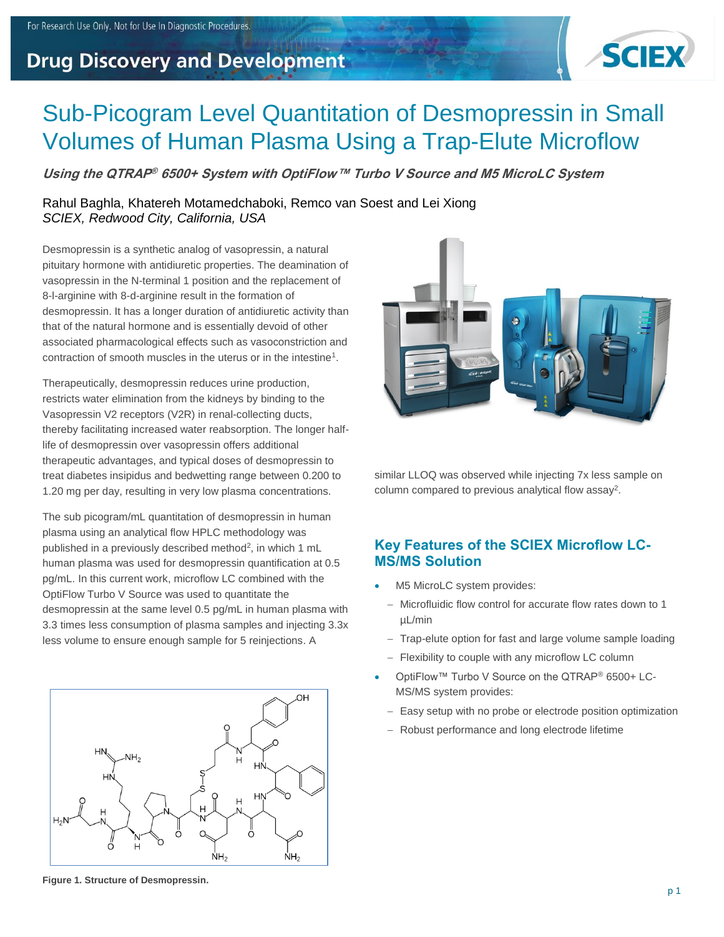## **Drug Discovery and Development**



# Sub-Picogram Level Quantitation of Desmopressin in Small Volumes of Human Plasma Using a Trap-Elute Microflow

**Using the QTRAP ® 6500+ System with OptiFlow™ Turbo V Source and M5 MicroLC System**

Rahul Baghla, Khatereh Motamedchaboki, Remco van Soest and Lei Xiong *SCIEX, Redwood City, California, USA*

Desmopressin is a synthetic analog of vasopressin, a natural pituitary hormone with antidiuretic properties. The deamination of vasopressin in the N-terminal 1 position and the replacement of 8-l-arginine with 8-d-arginine result in the formation of desmopressin. It has a longer duration of antidiuretic activity than that of the natural hormone and is essentially devoid of other associated pharmacological effects such as vasoconstriction and contraction of smooth muscles in the uterus or in the intestine<sup>1</sup>.

Therapeutically, desmopressin reduces urine production, restricts water elimination from the kidneys by binding to the Vasopressin V2 receptors (V2R) in renal-collecting ducts, thereby facilitating increased water reabsorption. The longer halflife of desmopressin over vasopressin offers additional therapeutic advantages, and typical doses of desmopressin to treat diabetes insipidus and bedwetting range between 0.200 to 1.20 mg per day, resulting in very low plasma concentrations.

The sub picogram/mL quantitation of desmopressin in human plasma using an analytical flow HPLC methodology was published in a previously described method<sup>2</sup>, in which 1 mL human plasma was used for desmopressin quantification at 0.5 pg/mL. In this current work, microflow LC combined with the OptiFlow Turbo V Source was used to quantitate the desmopressin at the same level 0.5 pg/mL in human plasma with 3.3 times less consumption of plasma samples and injecting 3.3x less volume to ensure enough sample for 5 reinjections. A



**Figure 1. Structure of Desmopressin.**



similar LLOQ was observed while injecting 7x less sample on column compared to previous analytical flow assay<sup>2</sup>.

## **Key Features of the SCIEX Microflow LC-MS/MS Solution**

- M5 MicroLC system provides:
- − Microfluidic flow control for accurate flow rates down to 1 µL/min
- − Trap-elute option for fast and large volume sample loading
- − Flexibility to couple with any microflow LC column
- OptiFlow™ Turbo V Source on the QTRAP® 6500+ LC-MS/MS system provides:
	- − Easy setup with no probe or electrode position optimization
	- − Robust performance and long electrode lifetime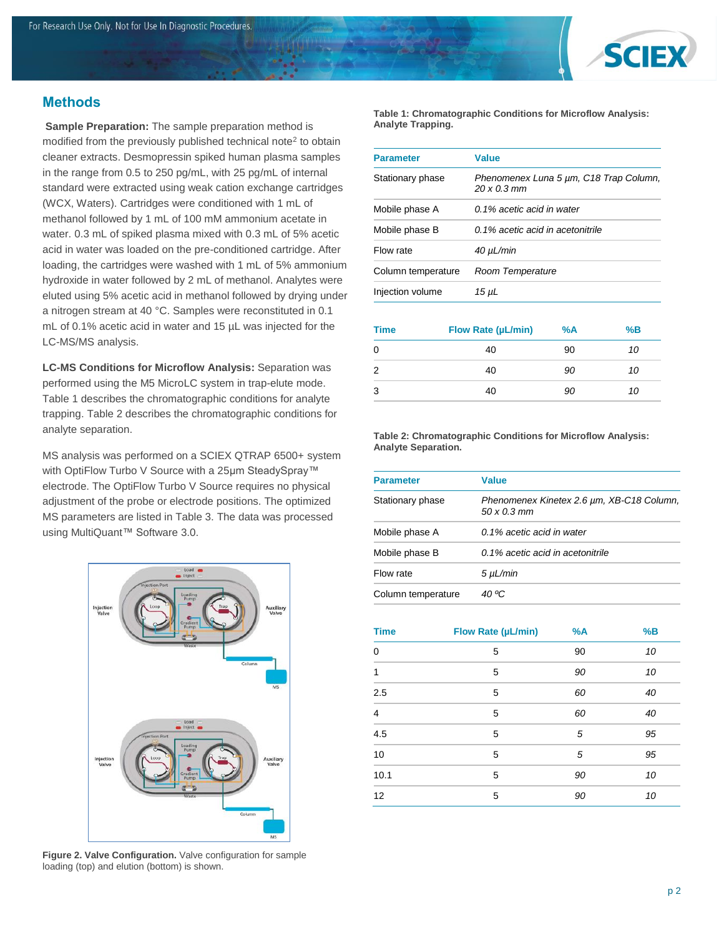

## **Methods**

**Sample Preparation:** The sample preparation method is modified from the previously published technical note<sup>2</sup> to obtain cleaner extracts. Desmopressin spiked human plasma samples in the range from 0.5 to 250 pg/mL, with 25 pg/mL of internal standard were extracted using weak cation exchange cartridges (WCX, Waters). Cartridges were conditioned with 1 mL of methanol followed by 1 mL of 100 mM ammonium acetate in water. 0.3 mL of spiked plasma mixed with 0.3 mL of 5% acetic acid in water was loaded on the pre-conditioned cartridge. After loading, the cartridges were washed with 1 mL of 5% ammonium hydroxide in water followed by 2 mL of methanol. Analytes were eluted using 5% acetic acid in methanol followed by drying under a nitrogen stream at 40 °C. Samples were reconstituted in 0.1 mL of 0.1% acetic acid in water and 15 µL was injected for the LC-MS/MS analysis.

**LC-MS Conditions for Microflow Analysis:** Separation was performed using the M5 MicroLC system in trap-elute mode. Table 1 describes the chromatographic conditions for analyte trapping. Table 2 describes the chromatographic conditions for analyte separation.

MS analysis was performed on a SCIEX QTRAP 6500+ system with OptiFlow Turbo V Source with a 25µm SteadySpray™ electrode. The OptiFlow Turbo V Source requires no physical adjustment of the probe or electrode positions. The optimized MS parameters are listed in Table 3. The data was processed using MultiQuant™ Software 3.0.



**Figure 2. Valve Configuration.** Valve configuration for sample loading (top) and elution (bottom) is shown.

**Table 1: Chromatographic Conditions for Microflow Analysis: Analyte Trapping.**

| <b>Parameter</b>   | Value                                                        |
|--------------------|--------------------------------------------------------------|
| Stationary phase   | Phenomenex Luna 5 µm, C18 Trap Column,<br>$20 \times 0.3$ mm |
| Mobile phase A     | 0.1% acetic acid in water                                    |
| Mobile phase B     | 0.1% acetic acid in acetonitrile                             |
| Flow rate          | $40 \mu L/min$                                               |
| Column temperature | Room Temperature                                             |
| Injection volume   | 15 µL                                                        |

| <b>Time</b> | Flow Rate (µL/min) | %A | %B |
|-------------|--------------------|----|----|
| 0           | 40                 | 90 | 10 |
| 2           | 40                 | 90 | 10 |
| 3           | 40                 | 90 | 10 |

**Table 2: Chromatographic Conditions for Microflow Analysis: Analyte Separation.**

| <b>Parameter</b>   | <b>Value</b>                                                            |
|--------------------|-------------------------------------------------------------------------|
| Stationary phase   | Phenomenex Kinetex 2.6 um, XB-C18 Column,<br>$50 \times 0.3 \text{ mm}$ |
| Mobile phase A     | 0.1% acetic acid in water                                               |
| Mobile phase B     | 0.1% acetic acid in acetonitrile                                        |
| Flow rate          | 5 µL/min                                                                |
| Column temperature | 40 ºC                                                                   |

| <b>Time</b>    | Flow Rate (µL/min) | %A | %B |
|----------------|--------------------|----|----|
| $\Omega$       | 5                  | 90 | 10 |
| 1              | 5                  | 90 | 10 |
| 2.5            | 5                  | 60 | 40 |
| $\overline{4}$ | 5                  | 60 | 40 |
| 4.5            | 5                  | 5  | 95 |
| 10             | 5                  | 5  | 95 |
| 10.1           | 5                  | 90 | 10 |
| 12             | 5                  | 90 | 10 |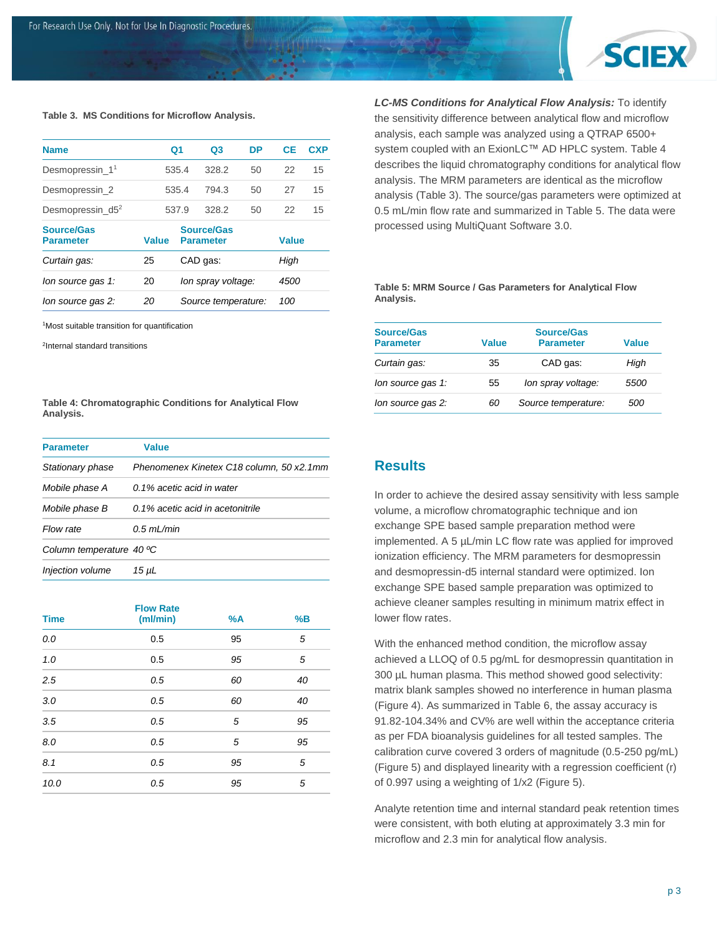

#### **Table 3. MS Conditions for Microflow Analysis.**

| <b>Name</b>                           |              | Q1                  | Q3                                    | DP   | <b>CE</b>    | <b>CXP</b> |
|---------------------------------------|--------------|---------------------|---------------------------------------|------|--------------|------------|
| Desmopressin 1 <sup>1</sup>           |              | 535.4               | 328.2                                 | 50   | 22           | 15         |
| Desmopressin 2                        |              | 535.4               | 794.3                                 | 50   | 27           | 15         |
| Desmopressin $d5^2$                   |              | 537.9               | 328.2                                 | 50   | 22           | 15         |
| <b>Source/Gas</b><br><b>Parameter</b> | <b>Value</b> |                     | <b>Source/Gas</b><br><b>Parameter</b> |      | <b>Value</b> |            |
| Curtain gas:                          | 25           |                     | CAD gas:                              |      | High         |            |
| lon source gas 1:                     | 20           | lon spray voltage:  |                                       | 4500 |              |            |
| lon source gas 2:                     | 20           | Source temperature: |                                       | 100  |              |            |

<sup>1</sup>Most suitable transition for quantification

2 Internal standard transitions

**Table 4: Chromatographic Conditions for Analytical Flow Analysis.**

| <b>Parameter</b>         | Value                                    |
|--------------------------|------------------------------------------|
| Stationary phase         | Phenomenex Kinetex C18 column, 50 x2.1mm |
| Mobile phase A           | 0.1% acetic acid in water                |
| Mobile phase B           | 0.1% acetic acid in acetonitrile         |
| Flow rate                | $0.5$ ml /min                            |
| Column temperature 40 °C |                                          |
| Injection volume         | 15 µL                                    |

| <b>Time</b> | <b>Flow Rate</b><br>(ml/min) | %A | %B |
|-------------|------------------------------|----|----|
| $0.0\,$     | 0.5                          | 95 | 5  |
| 1.0         | 0.5                          | 95 | 5  |
| 2.5         | 0.5                          | 60 | 40 |
| 3.0         | 0.5                          | 60 | 40 |
| 3.5         | 0.5                          | 5  | 95 |
| 8.0         | 0.5                          | 5  | 95 |
| 8.1         | 0.5                          | 95 | 5  |
| 10.0        | 0.5                          | 95 | 5  |

*LC-MS Conditions for Analytical Flow Analysis:* To identify the sensitivity difference between analytical flow and microflow analysis, each sample was analyzed using a QTRAP 6500+ system coupled with an ExionLC™ AD HPLC system. Table 4 describes the liquid chromatography conditions for analytical flow analysis. The MRM parameters are identical as the microflow analysis (Table 3). The source/gas parameters were optimized at 0.5 mL/min flow rate and summarized in Table 5. The data were processed using MultiQuant Software 3.0.

#### **Table 5: MRM Source / Gas Parameters for Analytical Flow Analysis.**

| <b>Source/Gas</b><br><b>Parameter</b> | Value | <b>Source/Gas</b><br><b>Parameter</b> | Value |
|---------------------------------------|-------|---------------------------------------|-------|
| Curtain gas:                          | 35    | CAD gas:                              | High  |
| lon source gas 1:                     | 55    | Ion spray voltage:                    | 5500  |
| lon source gas 2:                     | 60    | Source temperature:                   | 500   |

#### **Results**

In order to achieve the desired assay sensitivity with less sample volume, a microflow chromatographic technique and ion exchange SPE based sample preparation method were implemented. A 5 µL/min LC flow rate was applied for improved ionization efficiency. The MRM parameters for desmopressin and desmopressin-d5 internal standard were optimized. Ion exchange SPE based sample preparation was optimized to achieve cleaner samples resulting in minimum matrix effect in lower flow rates.

With the enhanced method condition, the microflow assay achieved a LLOQ of 0.5 pg/mL for desmopressin quantitation in 300 µL human plasma. This method showed good selectivity: matrix blank samples showed no interference in human plasma (Figure 4). As summarized in Table 6, the assay accuracy is 91.82-104.34% and CV% are well within the acceptance criteria as per FDA bioanalysis guidelines for all tested samples. The calibration curve covered 3 orders of magnitude (0.5-250 pg/mL) (Figure 5) and displayed linearity with a regression coefficient (r) of 0.997 using a weighting of 1/x2 (Figure 5).

Analyte retention time and internal standard peak retention times were consistent, with both eluting at approximately 3.3 min for microflow and 2.3 min for analytical flow analysis.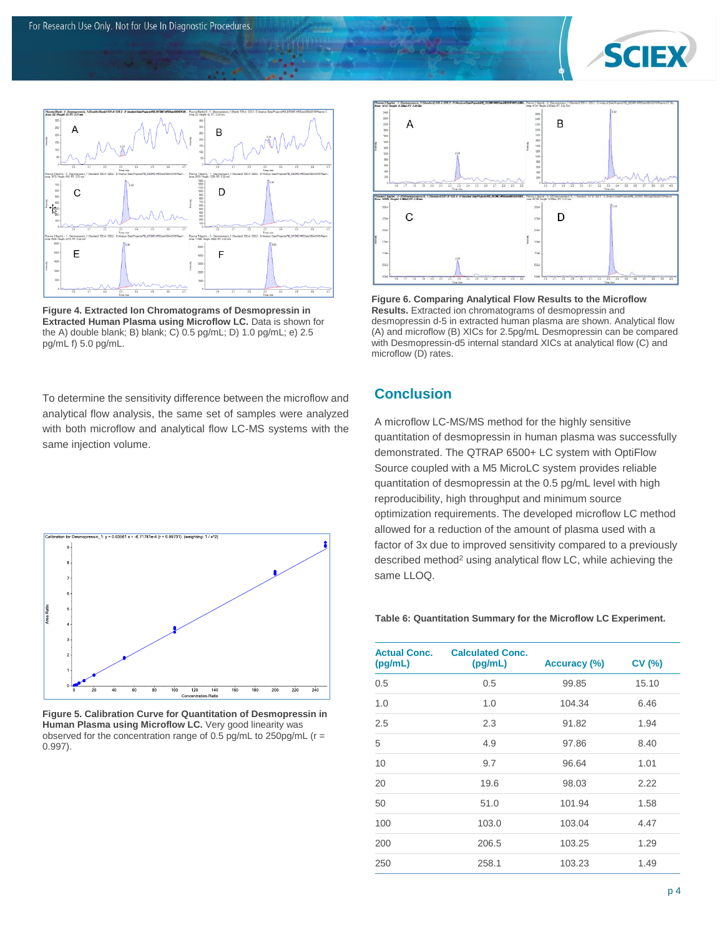



**Figure 4. Extracted Ion Chromatograms of Desmopressin in Extracted Human Plasma using Microflow LC.** Data is shown for the A) double blank; B) blank; C) 0.5 pg/mL; D) 1.0 pg/mL; e) 2.5 pg/mL f) 5.0 pg/mL.

To determine the sensitivity difference between the microflow and analytical flow analysis, the same set of samples were analyzed with both microflow and analytical flow LC-MS systems with the same injection volume.



**Figure 5. Calibration Curve for Quantitation of Desmopressin in Human Plasma using Microflow LC.** Very good linearity was observed for the concentration range of 0.5 pg/mL to 250pg/mL (r = 0.997).



**Figure 6. Comparing Analytical Flow Results to the Microflow Results.** Extracted ion chromatograms of desmopressin and desmopressin d-5 in extracted human plasma are shown. Analytical flow (A) and microflow (B) XICs for 2.5pg/mL Desmopressin can be compared with Desmopressin-d5 internal standard XICs at analytical flow (C) and microflow (D) rates.

## **Conclusion**

A microflow LC-MS/MS method for the highly sensitive quantitation of desmopressin in human plasma was successfully demonstrated. The QTRAP 6500+ LC system with OptiFlow Source coupled with a M5 MicroLC system provides reliable quantitation of desmopressin at the 0.5 pg/mL level with high reproducibility, high throughput and minimum source optimization requirements. The developed microflow LC method allowed for a reduction of the amount of plasma used with a factor of 3x due to improved sensitivity compared to a previously described method<sup>2</sup> using analytical flow LC, while achieving the same LLOQ.

#### **Table 6: Quantitation Summary for the Microflow LC Experiment.**

| <b>Actual Conc.</b><br>(pg/mL) | <b>Calculated Conc.</b><br>(pg/mL) | Accuracy (%) | CV(%) |
|--------------------------------|------------------------------------|--------------|-------|
| 0.5                            | 0.5                                | 99.85        | 15.10 |
| 1.0                            | 1.0                                | 104.34       | 6.46  |
| 2.5                            | 2.3                                | 91.82        | 1.94  |
| 5                              | 4.9                                | 97.86        | 8.40  |
| 10                             | 9.7                                | 96.64        | 1.01  |
| 20                             | 19.6                               | 98.03        | 2.22  |
| 50                             | 51.0                               | 101.94       | 1.58  |
| 100                            | 103.0                              | 103.04       | 4.47  |
| 200                            | 206.5                              | 103.25       | 1.29  |
| 250                            | 258.1                              | 103.23       | 1.49  |